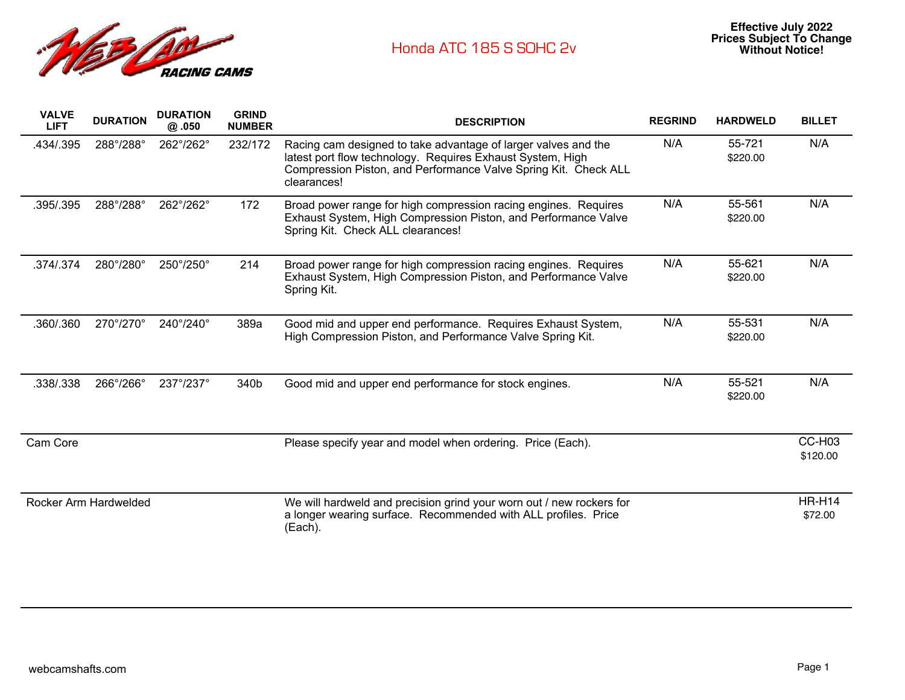

| <b>VALVE</b><br><b>LIFT</b> | <b>DURATION</b> | <b>DURATION</b><br>@.050  | <b>GRIND</b><br><b>NUMBER</b> | <b>DESCRIPTION</b>                                                                                                                                                                                             | <b>REGRIND</b> | <b>HARDWELD</b>    | <b>BILLET</b>            |
|-----------------------------|-----------------|---------------------------|-------------------------------|----------------------------------------------------------------------------------------------------------------------------------------------------------------------------------------------------------------|----------------|--------------------|--------------------------|
| .434/.395                   | 288°/288°       | 262°/262°                 | 232/172                       | Racing cam designed to take advantage of larger valves and the<br>latest port flow technology. Requires Exhaust System, High<br>Compression Piston, and Performance Valve Spring Kit. Check ALL<br>clearances! | N/A            | 55-721<br>\$220.00 | N/A                      |
| .395/.395                   | 288°/288°       | 262°/262°                 | 172                           | Broad power range for high compression racing engines. Requires<br>Exhaust System, High Compression Piston, and Performance Valve<br>Spring Kit. Check ALL clearances!                                         | N/A            | 55-561<br>\$220.00 | N/A                      |
| .374/.374                   | 280°/280°       | 250°/250°                 | 214                           | Broad power range for high compression racing engines. Requires<br>Exhaust System, High Compression Piston, and Performance Valve<br>Spring Kit.                                                               | N/A            | 55-621<br>\$220.00 | N/A                      |
| .360/.360                   | 270°/270°       | 240°/240°                 | 389a                          | Good mid and upper end performance. Requires Exhaust System,<br>High Compression Piston, and Performance Valve Spring Kit.                                                                                     | N/A            | 55-531<br>\$220.00 | N/A                      |
| .338/.338                   | 266°/266°       | $237^{\circ}/237^{\circ}$ | 340b                          | Good mid and upper end performance for stock engines.                                                                                                                                                          | N/A            | 55-521<br>\$220.00 | N/A                      |
| Cam Core                    |                 |                           |                               | Please specify year and model when ordering. Price (Each).                                                                                                                                                     |                |                    | CC-H03<br>\$120.00       |
| Rocker Arm Hardwelded       |                 |                           |                               | We will hardweld and precision grind your worn out / new rockers for<br>a longer wearing surface. Recommended with ALL profiles. Price<br>(Each).                                                              |                |                    | <b>HR-H14</b><br>\$72.00 |